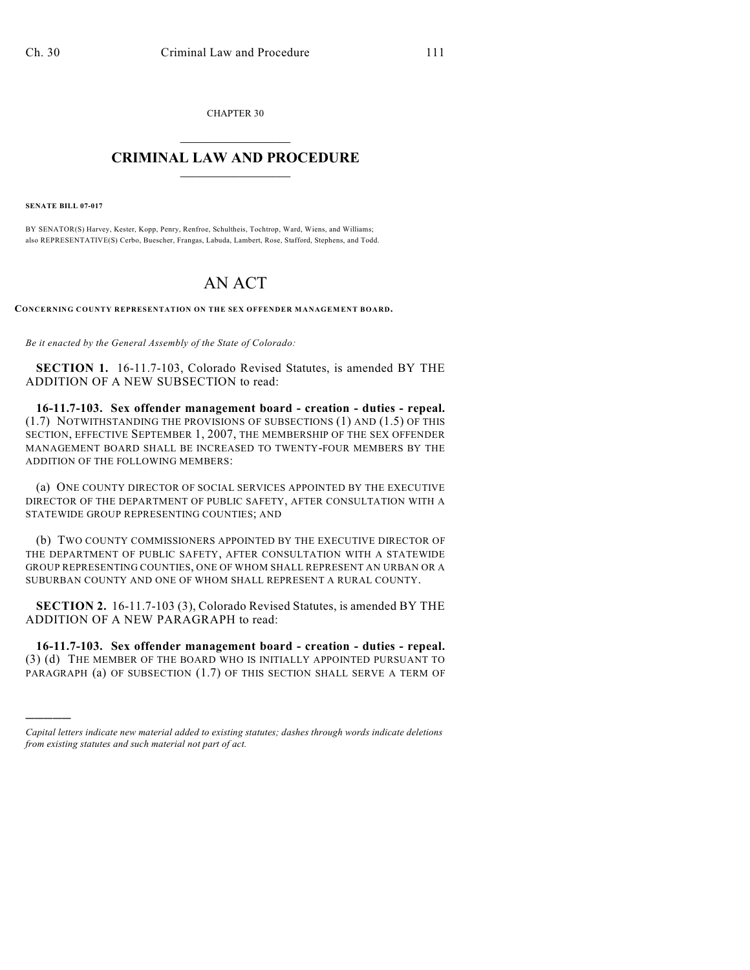CHAPTER 30  $\overline{\phantom{a}}$  . The set of the set of the set of the set of the set of the set of the set of the set of the set of the set of the set of the set of the set of the set of the set of the set of the set of the set of the set o

## **CRIMINAL LAW AND PROCEDURE**  $\frac{1}{2}$  ,  $\frac{1}{2}$  ,  $\frac{1}{2}$  ,  $\frac{1}{2}$  ,  $\frac{1}{2}$  ,  $\frac{1}{2}$  ,  $\frac{1}{2}$

**SENATE BILL 07-017**

)))))

BY SENATOR(S) Harvey, Kester, Kopp, Penry, Renfroe, Schultheis, Tochtrop, Ward, Wiens, and Williams; also REPRESENTATIVE(S) Cerbo, Buescher, Frangas, Labuda, Lambert, Rose, Stafford, Stephens, and Todd.

## AN ACT

**CONCERNING COUNTY REPRESENTATION ON THE SEX OFFENDER MANAGEMENT BOARD.**

*Be it enacted by the General Assembly of the State of Colorado:*

**SECTION 1.** 16-11.7-103, Colorado Revised Statutes, is amended BY THE ADDITION OF A NEW SUBSECTION to read:

**16-11.7-103. Sex offender management board - creation - duties - repeal.** (1.7) NOTWITHSTANDING THE PROVISIONS OF SUBSECTIONS (1) AND (1.5) OF THIS SECTION, EFFECTIVE SEPTEMBER 1, 2007, THE MEMBERSHIP OF THE SEX OFFENDER MANAGEMENT BOARD SHALL BE INCREASED TO TWENTY-FOUR MEMBERS BY THE ADDITION OF THE FOLLOWING MEMBERS:

(a) ONE COUNTY DIRECTOR OF SOCIAL SERVICES APPOINTED BY THE EXECUTIVE DIRECTOR OF THE DEPARTMENT OF PUBLIC SAFETY, AFTER CONSULTATION WITH A STATEWIDE GROUP REPRESENTING COUNTIES; AND

(b) TWO COUNTY COMMISSIONERS APPOINTED BY THE EXECUTIVE DIRECTOR OF THE DEPARTMENT OF PUBLIC SAFETY, AFTER CONSULTATION WITH A STATEWIDE GROUP REPRESENTING COUNTIES, ONE OF WHOM SHALL REPRESENT AN URBAN OR A SUBURBAN COUNTY AND ONE OF WHOM SHALL REPRESENT A RURAL COUNTY.

**SECTION 2.** 16-11.7-103 (3), Colorado Revised Statutes, is amended BY THE ADDITION OF A NEW PARAGRAPH to read:

**16-11.7-103. Sex offender management board - creation - duties - repeal.** (3) (d) THE MEMBER OF THE BOARD WHO IS INITIALLY APPOINTED PURSUANT TO PARAGRAPH (a) OF SUBSECTION (1.7) OF THIS SECTION SHALL SERVE A TERM OF

*Capital letters indicate new material added to existing statutes; dashes through words indicate deletions from existing statutes and such material not part of act.*